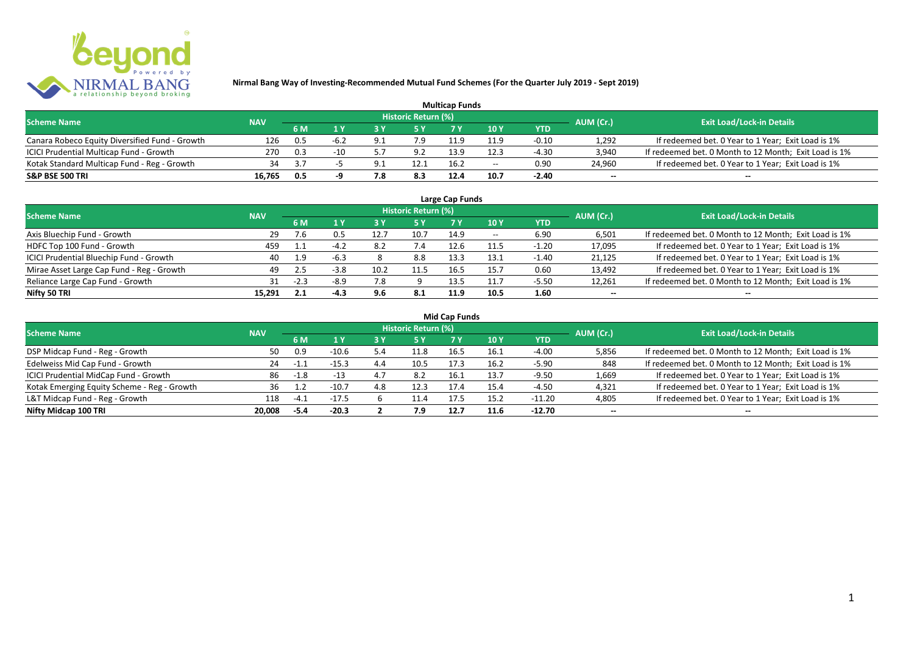

| <b>Multicap Funds</b>                          |            |     |        |     |                            |      |                          |         |                          |                                                       |  |  |
|------------------------------------------------|------------|-----|--------|-----|----------------------------|------|--------------------------|---------|--------------------------|-------------------------------------------------------|--|--|
| <b>Scheme Name</b>                             | <b>NAV</b> |     |        |     | <b>Historic Return (%)</b> |      |                          |         | AUM (Cr.)                | <b>Exit Load/Lock-in Details</b>                      |  |  |
|                                                |            | 6 M |        |     |                            |      | 10Y                      | YTD     |                          |                                                       |  |  |
| Canara Robeco Equity Diversified Fund - Growth | 126        | 0.5 | $-6.2$ | O 1 | 7.9                        |      | 11.9                     | $-0.10$ | 1,292                    | If redeemed bet. 0 Year to 1 Year; Exit Load is 1%    |  |  |
| ICICI Prudential Multicap Fund - Growth        | 270        | 0.3 | $-10$  |     | 9.2                        | 13.9 | 12.3                     | -4.30   | 3,940                    | If redeemed bet. 0 Month to 12 Month; Exit Load is 1% |  |  |
| Kotak Standard Multicap Fund - Reg - Growth    | 34         | 3.7 |        | Q 1 | 12.1                       | 16.2 | $\overline{\phantom{a}}$ | 0.90    | 24,960                   | If redeemed bet. 0 Year to 1 Year; Exit Load is 1%    |  |  |
| S&P BSE 500 TRI                                | 16.765     | 0.5 |        | 8.' | 8.3                        | 12.4 | 10.7                     | $-2.40$ | $\overline{\phantom{a}}$ | $\overline{\phantom{a}}$                              |  |  |

| Large Cap Funds<br>Historic Return (%)    |            |        |        |      |      |      |       |            |                          |                                                       |  |  |  |
|-------------------------------------------|------------|--------|--------|------|------|------|-------|------------|--------------------------|-------------------------------------------------------|--|--|--|
| <b>Scheme Name</b>                        | <b>NAV</b> | 6 M    | 1 ١    | 3 Y  | 5 Y  |      | 10 Y  | <b>YTD</b> | AUM (Cr.)                | <b>Exit Load/Lock-in Details</b>                      |  |  |  |
| Axis Bluechip Fund - Growth               | 29         | 7.6    | U.5    | 12.7 | 10.7 | 14.9 | $- -$ | 6.90       | 6,501                    | If redeemed bet. 0 Month to 12 Month; Exit Load is 1% |  |  |  |
| HDFC Top 100 Fund - Growth                | 459        | 1.1    | $-4.2$ | 8.2  |      | 12.6 | 11.5  | $-1.20$    | 17,095                   | If redeemed bet. 0 Year to 1 Year; Exit Load is 1%    |  |  |  |
| ICICI Prudential Bluechip Fund - Growth   | 40         | 1.9    | $-6.3$ |      | 8.8  | 13.3 | 13.1  | $-1.40$    | 21,125                   | If redeemed bet. 0 Year to 1 Year; Exit Load is 1%    |  |  |  |
| Mirae Asset Large Cap Fund - Reg - Growth | 49         | 2.5    | $-3.8$ | 10.2 | 11.5 |      | 15.7  | 0.60       | 13,492                   | If redeemed bet. 0 Year to 1 Year; Exit Load is 1%    |  |  |  |
| Reliance Large Cap Fund - Growth          | 31         | $-2.3$ | $-8.9$ | 7.8  |      | 13.5 | 11.7  | $-5.50$    | 12,261                   | If redeemed bet. 0 Month to 12 Month; Exit Load is 1% |  |  |  |
| Nifty 50 TRI                              | 15.291     | 2.1    | $-4.3$ | 9.6  | -8.1 | 11.9 | 10.5  | 1.60       | $\overline{\phantom{a}}$ |                                                       |  |  |  |

| Mid Cap Funds |  |
|---------------|--|
|---------------|--|

| <b>Scheme Name</b>                          | <b>NAV</b> |        |         |      | Historic Return (%) |      |      |            | AUM (Cr.)                | <b>Exit Load/Lock-in Details</b>                      |
|---------------------------------------------|------------|--------|---------|------|---------------------|------|------|------------|--------------------------|-------------------------------------------------------|
|                                             |            | 6 M    | 1 Y     | 73 Y | /5 Y                |      | 10Y  | <b>YTD</b> |                          |                                                       |
| DSP Midcap Fund - Reg - Growth              | 50         | 0.9    | $-10.6$ | 5.4  | 11.8                | 16.5 | 16.1 | $-4.00$    | 5,856                    | If redeemed bet. 0 Month to 12 Month; Exit Load is 1% |
| Edelweiss Mid Cap Fund - Growth             | 24         | $-1.1$ | $-15.3$ | 4.4  | 10.5                | 17.3 | 16.2 | $-5.90$    | 848                      | If redeemed bet. 0 Month to 12 Month; Exit Load is 1% |
| ICICI Prudential MidCap Fund - Growth       | 86         | $-1.8$ | $-13$   | 4.7  | -8.2                | 16.1 | 13.7 | $-9.50$    | 1,669                    | If redeemed bet. 0 Year to 1 Year; Exit Load is 1%    |
| Kotak Emerging Equity Scheme - Reg - Growth | 36         | 1.2    | $-10.7$ | 4.8  | 12.3                | 17.4 | 15.4 | -4.50      | 4,321                    | If redeemed bet. 0 Year to 1 Year; Exit Load is 1%    |
| L&T Midcap Fund - Reg - Growth              | 118        | $-4.1$ | $-17.5$ |      | 11.4                |      | 15.2 | $-11.20$   | 4,805                    | If redeemed bet. 0 Year to 1 Year; Exit Load is 1%    |
| Nifty Midcap 100 TRI                        | 20.008     | $-5.4$ | $-20.3$ |      | 7.9                 | 12.7 | 11.6 | $-12.70$   | $\overline{\phantom{a}}$ | $\overline{\phantom{a}}$                              |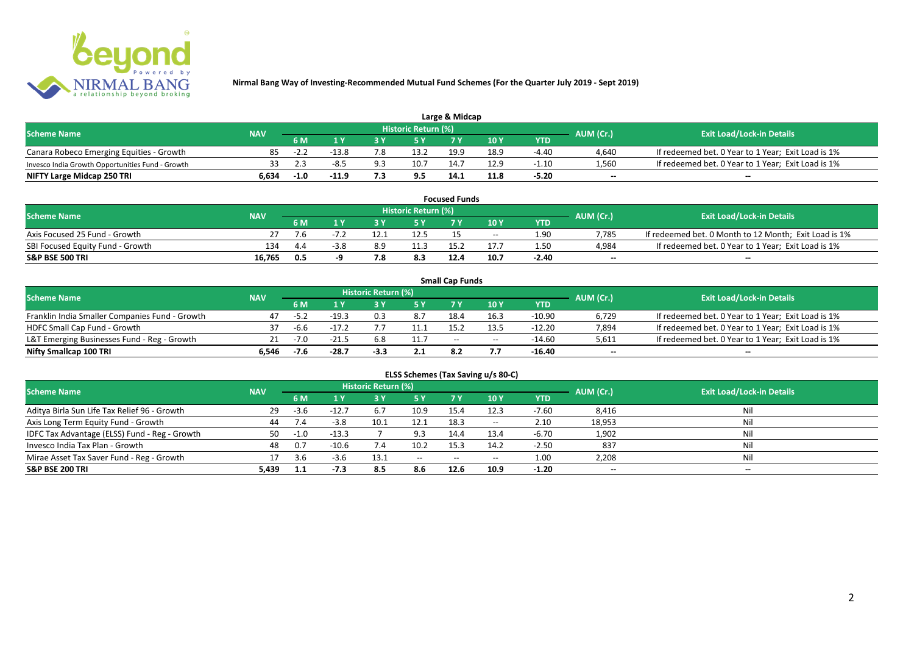

| Large & Midcap                                   |            |        |         |     |                     |      |      |         |                          |                                                    |  |  |
|--------------------------------------------------|------------|--------|---------|-----|---------------------|------|------|---------|--------------------------|----------------------------------------------------|--|--|
| <b>Scheme Name</b>                               | <b>NAV</b> |        |         |     | Historic Return (%) |      |      |         | AUM (Cr.)                | <b>Exit Load/Lock-in Details</b>                   |  |  |
|                                                  |            | 6 M    |         |     |                     | 7 M  | 10Y  | YTD     |                          |                                                    |  |  |
| Canara Robeco Emerging Equities - Growth         |            | $-2.4$ | $-13.8$ | 7.8 | 13.2                | 19.9 | 18.9 | -4.40   | 4,640                    | If redeemed bet. 0 Year to 1 Year; Exit Load is 1% |  |  |
| Invesco India Growth Opportunities Fund - Growth |            |        | -8.5    | 9.3 | 10.7                | 14.7 |      | $-1.10$ | 1,560                    | If redeemed bet. 0 Year to 1 Year; Exit Load is 1% |  |  |
| NIFTY Large Midcap 250 TRI                       | 6.634      | $-1.0$ | -11.9   |     | 9.5                 | 14.1 | 11.8 | $-5.20$ | $\overline{\phantom{a}}$ | $\overline{\phantom{a}}$                           |  |  |

|                                  |            |     |     |                     | <b>Focused Funds</b> |       |            |                          |                                                       |
|----------------------------------|------------|-----|-----|---------------------|----------------------|-------|------------|--------------------------|-------------------------------------------------------|
| <b>Scheme Name</b>               | <b>NAV</b> |     |     | Historic Return (%) |                      |       |            | AUM (Cr.)                | <b>Exit Load/Lock-in Details</b>                      |
|                                  |            | 6 M |     | <b>EV</b>           |                      | 10 Y  | <b>YTD</b> |                          |                                                       |
| Axis Focused 25 Fund - Growth    |            | 7.6 |     | 12.5                |                      | $- -$ | 1.90       | 7.785                    | If redeemed bet. 0 Month to 12 Month; Exit Load is 1% |
| SBI Focused Equity Fund - Growth | 134        | 4.4 | 8.9 | 11.3                |                      |       | 1.50       | 4.984                    | If redeemed bet. 0 Year to 1 Year; Exit Load is 1%    |
| <b>S&amp;P BSE 500 TRI</b>       | 16.765     | 0.5 |     | 8.3                 | 12.4                 | 10.7  | $-2.40$    | $\overline{\phantom{a}}$ | $- -$                                                 |

|                                                |            |        |         |                     |      | <b>Small Cap Funds</b> |                                       |          |                          |                                                    |
|------------------------------------------------|------------|--------|---------|---------------------|------|------------------------|---------------------------------------|----------|--------------------------|----------------------------------------------------|
| <b>Scheme Name</b>                             | <b>NAV</b> |        |         | Historic Return (%) |      |                        |                                       |          | AUM (Cr.)                | <b>Exit Load/Lock-in Details</b>                   |
|                                                |            | 6 M    |         |                     |      |                        | 10 Y                                  | YTD      |                          |                                                    |
| Franklin India Smaller Companies Fund - Growth | 47         | $-5.2$ | $-19.3$ |                     | 8.7  | 18.4                   | 16.3                                  | $-10.90$ | 6,729                    | If redeemed bet. 0 Year to 1 Year; Exit Load is 1% |
| HDFC Small Cap Fund - Growth                   | 37         | -6.6   | $-17.2$ |                     | 11.1 | 15.2                   | 13.5                                  | $-12.20$ | 7,894                    | If redeemed bet. 0 Year to 1 Year; Exit Load is 1% |
| L&T Emerging Businesses Fund - Reg - Growth    |            | $-7.0$ | $-21.5$ | 6.8                 | 11.7 | $-$                    | $\hspace{0.05cm}$ – $\hspace{0.05cm}$ | $-14.60$ | 5,611                    | If redeemed bet. 0 Year to 1 Year; Exit Load is 1% |
| Nifty Smallcap 100 TRI                         | 6.546      | -7.6   | $-28.7$ | -3.3                | 2.1  |                        |                                       | -16.40   | $\overline{\phantom{a}}$ | $-$                                                |

| ELSS Schemes (Tax Saving u/s 80-C)            |            |        |         |                            |                                       |           |       |            |                          |                                  |  |  |
|-----------------------------------------------|------------|--------|---------|----------------------------|---------------------------------------|-----------|-------|------------|--------------------------|----------------------------------|--|--|
| <b>Scheme Name</b>                            | <b>NAV</b> |        |         | <b>Historic Return (%)</b> |                                       |           |       |            | AUM (Cr.)                | <b>Exit Load/Lock-in Details</b> |  |  |
|                                               |            | 6 M    | 1 Y     | /3 Y                       | <b>5Y</b>                             | <b>7Y</b> | 10 Y  | <b>YTD</b> |                          |                                  |  |  |
| Aditya Birla Sun Life Tax Relief 96 - Growth  | 29         | $-3.6$ | $-12.7$ | 6.7                        | 10.9                                  | 15.4      | 12.3  | $-7.60$    | 8,416                    | Nil                              |  |  |
| Axis Long Term Equity Fund - Growth           | 44         | 7.4    | $-3.8$  | 10.1                       | 12.1                                  | 18.3      | $- -$ | 2.10       | 18,953                   | Nil                              |  |  |
| IDFC Tax Advantage (ELSS) Fund - Reg - Growth | 50         | $-1.0$ | $-13.3$ |                            | 9.3                                   | 14.4      | 13.4  | $-6.70$    | 1,902                    | Nil                              |  |  |
| Invesco India Tax Plan - Growth               | 48         | 0.7    | $-10.6$ | 7.4                        | 10.2                                  | 15.3      | 14.2  | $-2.50$    | 837                      | Nil                              |  |  |
| Mirae Asset Tax Saver Fund - Reg - Growth     |            | 3.6    | $-3.6$  | 13.1                       | $\hspace{0.05cm}$ – $\hspace{0.05cm}$ | $- -$     | $- -$ | 1.00       | 2,208                    | Nil                              |  |  |
| S&P BSE 200 TRI                               | 5,439      | 1.1    | -7.3    | 8.5                        | 8.6                                   | 12.6      | 10.9  | $-1.20$    | $\overline{\phantom{a}}$ | $- -$                            |  |  |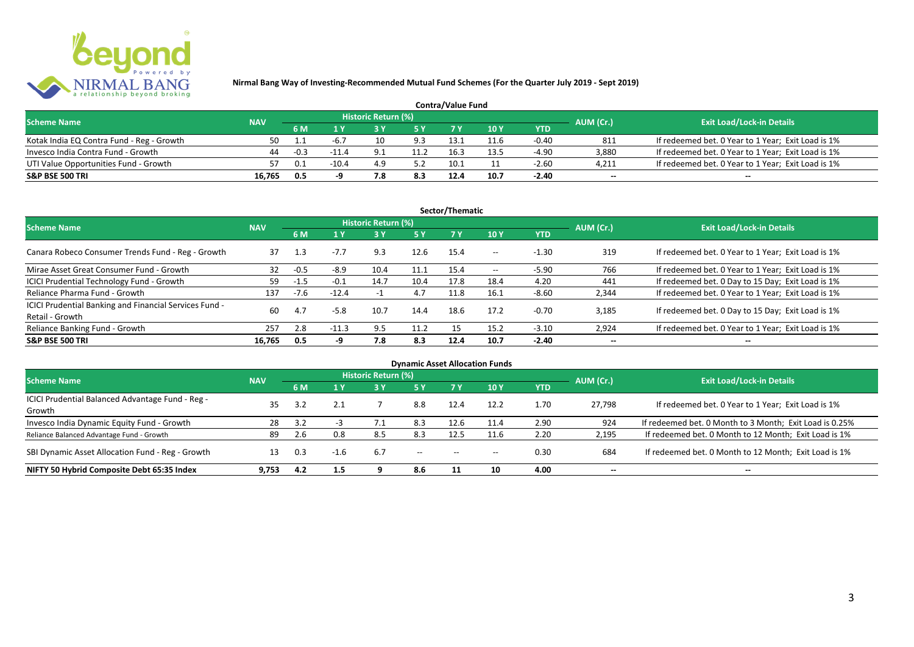

| <b>Contra/Value Fund</b>                  |            |        |         |                     |      |      |      |         |           |                                                    |  |  |
|-------------------------------------------|------------|--------|---------|---------------------|------|------|------|---------|-----------|----------------------------------------------------|--|--|
| <b>Scheme Name</b>                        | <b>NAV</b> |        |         | Historic Return (%) |      |      |      |         | AUM (Cr.) | <b>Exit Load/Lock-in Details</b>                   |  |  |
|                                           |            | 6 M    |         |                     |      |      | 10 Y | YTD     |           |                                                    |  |  |
| Kotak India EQ Contra Fund - Reg - Growth | 50         |        | $-6.7$  |                     | 9.3  | 13   |      | $-0.40$ | 811       | If redeemed bet. 0 Year to 1 Year; Exit Load is 1% |  |  |
| Invesco India Contra Fund - Growth        | 44         | $-0.3$ | $-11.4$ |                     | 11.2 | 16.3 | I3.5 | $-4.90$ | 3.880     | If redeemed bet. 0 Year to 1 Year; Exit Load is 1% |  |  |
| UTI Value Opportunities Fund - Growth     |            | 0.1    | $-10.4$ | 4.9                 |      | 10.1 |      | $-2.60$ | 4,211     | If redeemed bet. 0 Year to 1 Year; Exit Load is 1% |  |  |
| S&P BSE 500 TRI                           | 16.765     | 0.5    |         | 7.8                 | 8.3  | 12.4 | 10.7 | $-2.40$ | $\sim$    | $\overline{\phantom{a}}$                           |  |  |

|                                                                           |            |        |         |                     |           | Sector/Thematic |       |            |                          |                                                    |
|---------------------------------------------------------------------------|------------|--------|---------|---------------------|-----------|-----------------|-------|------------|--------------------------|----------------------------------------------------|
| <b>Scheme Name</b>                                                        | <b>NAV</b> |        |         | Historic Return (%) |           |                 |       |            | AUM (Cr.)                | <b>Exit Load/Lock-in Details</b>                   |
|                                                                           |            | 6 M    | 1 Y     |                     | <b>5Y</b> | <b>7Y</b>       | 10Y   | <b>YTD</b> |                          |                                                    |
| Canara Robeco Consumer Trends Fund - Reg - Growth                         | 37         | 1.3    | $-7.7$  | 9.3                 | 12.6      | 15.4            | $- -$ | $-1.30$    | 319                      | If redeemed bet. 0 Year to 1 Year; Exit Load is 1% |
| Mirae Asset Great Consumer Fund - Growth                                  | 32         | $-0.5$ | $-8.9$  | 10.4                | 11.1      | 15.4            | $- -$ | $-5.90$    | 766                      | If redeemed bet. 0 Year to 1 Year; Exit Load is 1% |
| ICICI Prudential Technology Fund - Growth                                 | 59         | $-1.5$ | $-0.1$  | 14.7                | 10.4      | 17.8            | 18.4  | 4.20       | 441                      | If redeemed bet. 0 Day to 15 Day; Exit Load is 1%  |
| Reliance Pharma Fund - Growth                                             | 137        | $-7.6$ | $-12.4$ |                     | 4.7       | 11.8            | 16.1  | $-8.60$    | 2,344                    | If redeemed bet. 0 Year to 1 Year; Exit Load is 1% |
| ICICI Prudential Banking and Financial Services Fund -<br>Retail - Growth | 60         | 4.7    | $-5.8$  | 10.7                | 14.4      | 18.6            | 17.2  | $-0.70$    | 3.185                    | If redeemed bet. 0 Day to 15 Day; Exit Load is 1%  |
| Reliance Banking Fund - Growth                                            | 257        | 2.8    | $-11.3$ | 9.5                 | 11.2      | 15.             | 15.2  | $-3.10$    | 2,924                    | If redeemed bet. 0 Year to 1 Year; Exit Load is 1% |
| <b>S&amp;P BSE 500 TRI</b>                                                | 16.765     | 0.5    | -9      | 7.8                 | 8.3       | 12.4            | 10.7  | $-2.40$    | $\overline{\phantom{a}}$ | $- -$                                              |

|                                                  |            |     |        |                            |                                       |                                       | <b>Dynamic Asset Allocation Funds</b> |            |                          |                                                         |
|--------------------------------------------------|------------|-----|--------|----------------------------|---------------------------------------|---------------------------------------|---------------------------------------|------------|--------------------------|---------------------------------------------------------|
| Scheme Name                                      | <b>NAV</b> |     |        | <b>Historic Return (%)</b> |                                       |                                       |                                       |            | AUM (Cr.)                | <b>Exit Load/Lock-in Details</b>                        |
|                                                  |            | 6 M | 1 Y    | 3 Y                        | 5 Y                                   |                                       | 10Y                                   | <b>YTD</b> |                          |                                                         |
| ICICI Prudential Balanced Advantage Fund - Reg - | 35         |     |        |                            |                                       |                                       |                                       | 1.70       |                          |                                                         |
| Growth                                           |            | 3.2 |        |                            | 8.8                                   | 12.4                                  | 12.2                                  |            | 27.798                   | If redeemed bet. 0 Year to 1 Year; Exit Load is 1%      |
| Invesco India Dynamic Equity Fund - Growth       | 28         | 3.2 |        |                            | 8.3                                   | 12.6                                  |                                       | 2.90       | 924                      | If redeemed bet. 0 Month to 3 Month; Exit Load is 0.25% |
| Reliance Balanced Advantage Fund - Growth        | 89         | 2.6 | 0.8    | 8.5                        | 8.3                                   | 12.5                                  | 11.6                                  | 2.20       | 2,195                    | If redeemed bet. 0 Month to 12 Month; Exit Load is 1%   |
| SBI Dynamic Asset Allocation Fund - Reg - Growth |            | 0.3 | $-1.6$ | 6.7                        | $\hspace{0.05cm}$ – $\hspace{0.05cm}$ | $\hspace{0.05cm}$ – $\hspace{0.05cm}$ | $- -$                                 | 0.30       | 684                      | If redeemed bet. 0 Month to 12 Month; Exit Load is 1%   |
| NIFTY 50 Hybrid Composite Debt 65:35 Index       | 9.753      | 4.2 | 1.5    |                            | 8.6                                   |                                       | 10                                    | 4.00       | $\overline{\phantom{a}}$ | $- -$                                                   |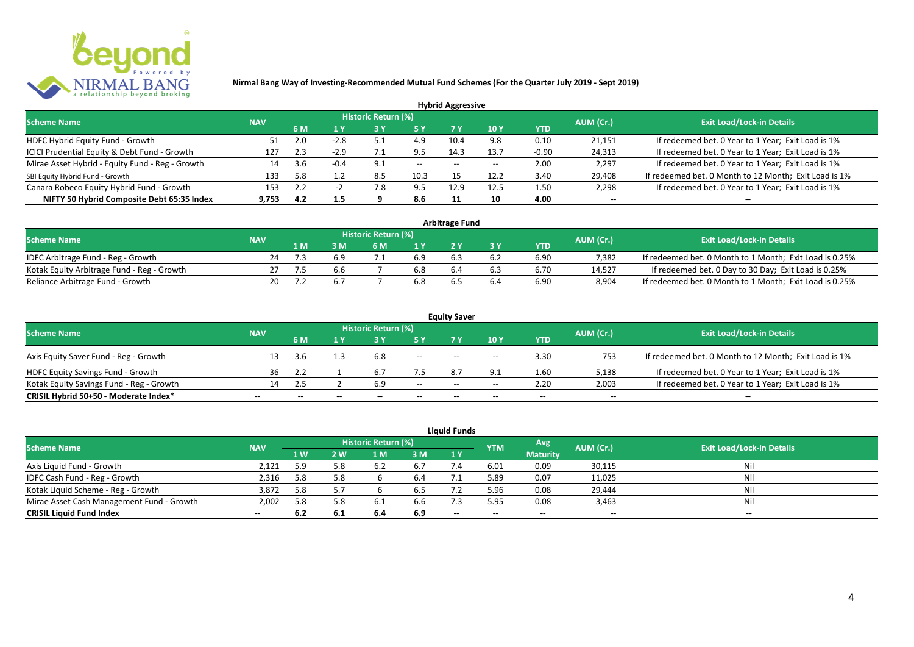

|                                                 |            |     |        |                            |           | <b>Hybrid Aggressive</b> |      |            |                          |                                                       |
|-------------------------------------------------|------------|-----|--------|----------------------------|-----------|--------------------------|------|------------|--------------------------|-------------------------------------------------------|
| <b>Scheme Name</b>                              | <b>NAV</b> |     |        | <b>Historic Return (%)</b> |           |                          |      |            | AUM (Cr.)                | <b>Exit Load/Lock-in Details</b>                      |
|                                                 |            | 6 M | 1 Y    |                            | <b>5Y</b> | 7 Y                      | 10Y  | <b>YTD</b> |                          |                                                       |
| HDFC Hybrid Equity Fund - Growth                |            | 2.0 | $-2.8$ | 5.1                        | 4.9       | 10.4                     | 9.8  | 0.10       | 21,151                   | If redeemed bet. 0 Year to 1 Year; Exit Load is 1%    |
| ICICI Prudential Equity & Debt Fund - Growth    | 127        | 2.3 | $-2.9$ |                            | 9.5       | 14.3                     | 13.7 | $-0.90$    | 24,313                   | If redeemed bet. 0 Year to 1 Year; Exit Load is 1%    |
| Mirae Asset Hybrid - Equity Fund - Reg - Growth | 14         | 3.6 | $-0.4$ | -9.1                       | $- -$     | $- -$                    |      | 2.00       | 2,297                    | If redeemed bet. 0 Year to 1 Year; Exit Load is 1%    |
| SBI Equity Hybrid Fund - Growth                 | 133        | 5.8 |        | 8.5                        | 10.3      |                          | 12.2 | 3.40       | 29,408                   | If redeemed bet. 0 Month to 12 Month; Exit Load is 1% |
| Canara Robeco Equity Hybrid Fund - Growth       | 153        | 2.2 |        | '.8                        | 9.5       | 12.9                     | 12.5 | 1.50       | 2,298                    | If redeemed bet. 0 Year to 1 Year; Exit Load is 1%    |
| NIFTY 50 Hybrid Composite Debt 65:35 Index      | 9.753      | 4.2 | 1.5    |                            | 8.6       |                          | 10   | 4.00       | $\overline{\phantom{a}}$ | $\overline{\phantom{a}}$                              |

| <b>Arbitrage Fund</b>                      |            |     |     |                     |     |     |     |            |           |                                                         |  |  |  |  |
|--------------------------------------------|------------|-----|-----|---------------------|-----|-----|-----|------------|-----------|---------------------------------------------------------|--|--|--|--|
| <b>Scheme Name</b>                         | <b>NAV</b> |     |     | Historic Return (%) |     |     |     |            | AUM (Cr.) | <b>Exit Load/Lock-in Details</b>                        |  |  |  |  |
|                                            |            | 1 M |     | 6 M                 |     |     |     | <b>YTD</b> |           |                                                         |  |  |  |  |
| IDFC Arbitrage Fund - Reg - Growth         | 24         |     | 6.9 |                     | 6.9 |     | 6.2 | 6.90       | 7.382     | If redeemed bet. 0 Month to 1 Month; Exit Load is 0.25% |  |  |  |  |
| Kotak Equity Arbitrage Fund - Reg - Growth |            |     | b.b |                     | 6.8 | 6.4 | 6.3 | 6.70       | 14.527    | If redeemed bet. 0 Day to 30 Day; Exit Load is 0.25%    |  |  |  |  |
| Reliance Arbitrage Fund - Growth           | 20         |     |     |                     | 6.8 |     | b.4 | 6.90       | 8.904     | If redeemed bet. 0 Month to 1 Month; Exit Load is 0.25% |  |  |  |  |

|                                          |            |     |              |                     |        | <b>Equity Saver</b>                   |                                       |        |                          |                                                       |
|------------------------------------------|------------|-----|--------------|---------------------|--------|---------------------------------------|---------------------------------------|--------|--------------------------|-------------------------------------------------------|
| <b>Scheme Name</b>                       | <b>NAV</b> |     |              | Historic Return (%) |        |                                       |                                       |        | AUM (Cr.)                | <b>Exit Load/Lock-in Details</b>                      |
|                                          |            | 6 M |              |                     |        |                                       | 10 Y                                  | YTD    |                          |                                                       |
| Axis Equity Saver Fund - Reg - Growth    |            | 3.6 |              | 6.8                 | $- -$  | $- -$                                 | $\overline{\phantom{a}}$              | 3.30   | 753                      | If redeemed bet. 0 Month to 12 Month; Exit Load is 1% |
| HDFC Equity Savings Fund - Growth        | 36         |     |              |                     |        | R.                                    |                                       | 1.60   | 5,138                    | If redeemed bet. 0 Year to 1 Year; Exit Load is 1%    |
| Kotak Equity Savings Fund - Reg - Growth | 14.        | 2.5 |              | ó.9                 | $- -$  | $\hspace{0.05cm}$ – $\hspace{0.05cm}$ | $\hspace{0.05cm}$ – $\hspace{0.05cm}$ | 2.20   | 2,003                    | If redeemed bet. 0 Year to 1 Year; Exit Load is 1%    |
| CRISIL Hybrid 50+50 - Moderate Index*    | $- -$      | $-$ | $\mathbf{m}$ | $\qquad \qquad$     | $\sim$ | $- -$                                 | $- -$                                 | $\sim$ | $\overline{\phantom{a}}$ | $\overline{\phantom{a}}$                              |

| <b>Liquid Funds</b>                       |            |     |     |                     |     |       |            |                 |                          |                                  |  |  |  |  |
|-------------------------------------------|------------|-----|-----|---------------------|-----|-------|------------|-----------------|--------------------------|----------------------------------|--|--|--|--|
| <b>Scheme Name</b>                        | <b>NAV</b> |     |     | Historic Return (%) |     |       | <b>YTM</b> | Avg             | AUM (Cr.)                | <b>Exit Load/Lock-in Details</b> |  |  |  |  |
|                                           |            | 1 W | 2 W | 1 M                 | 3 M | 1Y    |            | <b>Maturity</b> |                          |                                  |  |  |  |  |
| Axis Liquid Fund - Growth                 | 2.121      | 5.9 | 5.8 |                     |     |       | 6.01       | 0.09            | 30,115                   | Nil                              |  |  |  |  |
| IDFC Cash Fund - Reg - Growth             | 2,316      | 5.8 | 5.8 |                     | 6.4 |       | 5.89       | 0.07            | 11,025                   | Nil                              |  |  |  |  |
| Kotak Liquid Scheme - Reg - Growth        | 3,872      | 5.8 | 5.7 |                     | 6.5 |       | 5.96       | 0.08            | 29,444                   | Nil                              |  |  |  |  |
| Mirae Asset Cash Management Fund - Growth | 2,002      | 5.8 | 5.8 |                     | 6.6 |       | 5.95       | 0.08            | 3,463                    | Nil                              |  |  |  |  |
| <b>CRISIL Liquid Fund Index</b>           | $- -$      | 6.2 | 6.1 | 6.4                 | 6.9 | $- -$ | $- -$      | $- -$           | $\overline{\phantom{a}}$ | $- -$                            |  |  |  |  |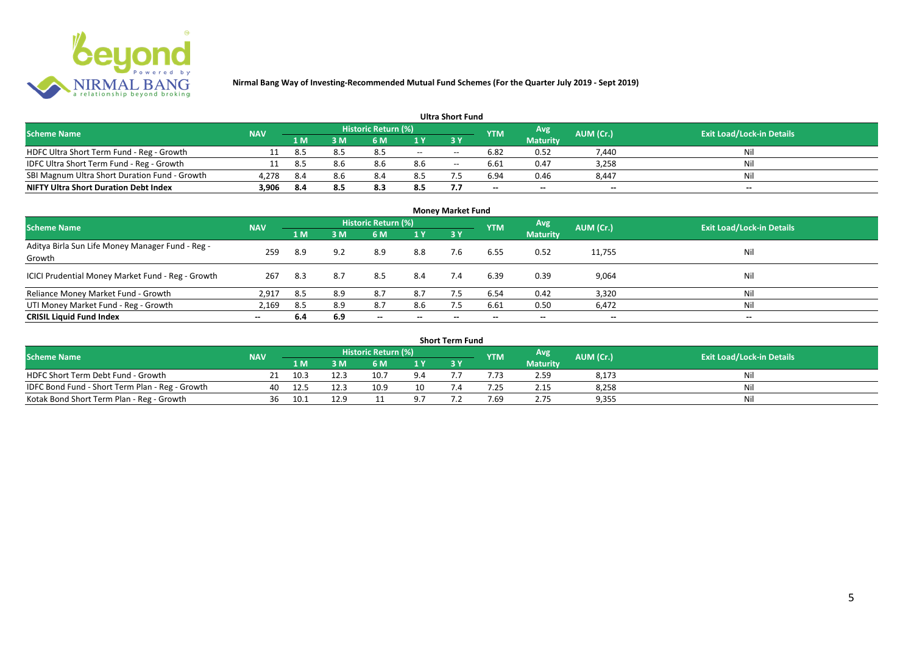

| <b>Ultra Short Fund</b>                       |            |       |      |                            |     |       |                          |                          |                          |                                  |  |  |  |
|-----------------------------------------------|------------|-------|------|----------------------------|-----|-------|--------------------------|--------------------------|--------------------------|----------------------------------|--|--|--|
| <b>Scheme Name</b>                            | <b>NAV</b> |       |      | <b>Historic Return (%)</b> |     |       | <b>YTM</b>               | Avg                      | AUM (Cr.)                | <b>Exit Load/Lock-in Details</b> |  |  |  |
|                                               |            | 71 M. | 8 M' | 6 M                        |     | 3 Y   |                          | <b>Maturity</b>          |                          |                                  |  |  |  |
| HDFC Ultra Short Term Fund - Reg - Growth     |            | 8.5   | 8.5  | 8.5                        | $-$ | $- -$ | 6.82                     | 0.52                     | 7,440                    | Nil                              |  |  |  |
| IDFC Ultra Short Term Fund - Reg - Growth     |            | 8.5   | 8.6  | 8.6                        | 8.6 | $- -$ | 6.61                     | 0.47                     | 3,258                    | Nil                              |  |  |  |
| SBI Magnum Ultra Short Duration Fund - Growth | 4,278      | 8.4   | 8.6  | 8.4                        | 8.5 |       | 6.94                     | 0.46                     | 8,447                    | Nil                              |  |  |  |
| <b>NIFTY Ultra Short Duration Debt Index</b>  | 3,906      | 8.4   |      | 8.3                        | 8.5 |       | $\overline{\phantom{a}}$ | $\overline{\phantom{a}}$ | $\overline{\phantom{a}}$ | $\overline{\phantom{a}}$         |  |  |  |

| <b>Money Market Fund</b>                                   |            |      |     |                            |                          |           |            |                 |                          |                                  |  |  |  |
|------------------------------------------------------------|------------|------|-----|----------------------------|--------------------------|-----------|------------|-----------------|--------------------------|----------------------------------|--|--|--|
| <b>Scheme Name</b>                                         | <b>NAV</b> |      |     | <b>Historic Return (%)</b> |                          |           | <b>YTM</b> | Avg             | AUM (Cr.)                | <b>Exit Load/Lock-in Details</b> |  |  |  |
|                                                            |            | 1 M  | 3M  | 6 M                        | 1Y                       | <b>3Y</b> |            | <b>Maturity</b> |                          |                                  |  |  |  |
| Aditya Birla Sun Life Money Manager Fund - Reg -<br>Growth | 259        | 8.9  | 9.2 | 8.9                        | 8.8                      | 7.6       | 6.55       | 0.52            | 11,755                   | Nil                              |  |  |  |
| ICICI Prudential Money Market Fund - Reg - Growth          | 267        | -8.3 | 8.7 | 8.5                        | 8.4                      | 7.4       | 6.39       | 0.39            | 9,064                    | Nil                              |  |  |  |
| Reliance Money Market Fund - Growth                        | 2,917      | 8.5  | 8.9 | 8.7                        | 8.7                      |           | 6.54       | 0.42            | 3,320                    | Nil                              |  |  |  |
| UTI Money Market Fund - Reg - Growth                       | 2,169      | 8.5  | 8.9 | 8.7                        | 8.6                      | 7.5       | 6.61       | 0.50            | 6,472                    | Nil                              |  |  |  |
| <b>CRISIL Liquid Fund Index</b>                            | $- -$      | 6.4  | 6.9 | $\overline{\phantom{a}}$   | $\overline{\phantom{a}}$ | $\!-$     | $\!-$      | $\sim$          | $\overline{\phantom{a}}$ | $\overline{\phantom{a}}$         |  |  |  |

| Short Term Fund                                 |            |      |      |                     |     |  |            |                 |           |                                  |  |  |  |
|-------------------------------------------------|------------|------|------|---------------------|-----|--|------------|-----------------|-----------|----------------------------------|--|--|--|
| <b>Scheme Name</b>                              | <b>NAV</b> |      |      | Historic Return (%) |     |  | <b>YTM</b> | Avg             | AUM (Cr.) | <b>Exit Load/Lock-in Details</b> |  |  |  |
|                                                 |            | 1 M  |      | 6 M                 | 1 V |  |            | <b>Maturity</b> |           |                                  |  |  |  |
| HDFC Short Term Debt Fund - Growth              |            | 10.3 | 12.3 | 10.7                | 9.4 |  |            | 2.59            | 8,173     | Nil                              |  |  |  |
| IDFC Bond Fund - Short Term Plan - Reg - Growth | 40         | 12.5 | 12.3 | 10.9                | 10  |  | .25        | 2.15            | 8,258     | Nil                              |  |  |  |
| Kotak Bond Short Term Plan - Reg - Growth       | 36         | 10.1 | 12.9 |                     |     |  | 7.69       | 2.75            | 9,355     | Nil                              |  |  |  |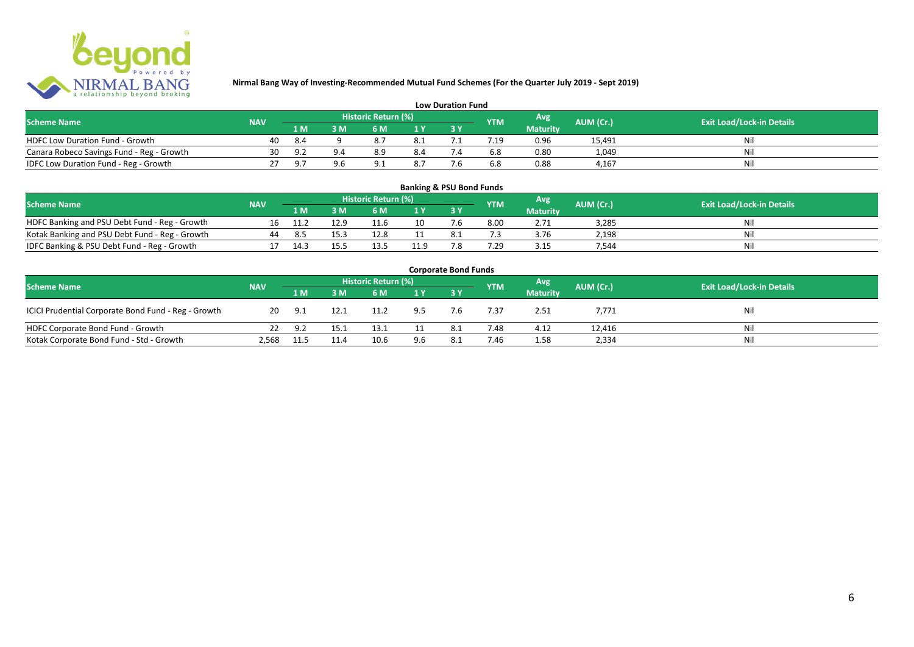

| <b>Low Duration Fund</b>                  |            |      |                |                     |     |  |            |                 |           |                                  |  |  |  |  |
|-------------------------------------------|------------|------|----------------|---------------------|-----|--|------------|-----------------|-----------|----------------------------------|--|--|--|--|
| <b>Scheme Name</b>                        | <b>NAV</b> |      |                | Historic Return (%) |     |  | <b>YTM</b> | Avg             | AUM (Cr.) | <b>Exit Load/Lock-in Details</b> |  |  |  |  |
|                                           |            | 1 M  |                | 6 M.                |     |  |            | <b>Maturity</b> |           |                                  |  |  |  |  |
| <b>HDFC Low Duration Fund - Growth</b>    | 40         | -8.4 |                |                     | 8.1 |  |            | 0.96            | 15,491    | Nli                              |  |  |  |  |
| Canara Robeco Savings Fund - Reg - Growth | 30         |      | 9 <sub>4</sub> | 8.9                 | 8.4 |  | 6.8        | 0.80            | 1,049     | Ni                               |  |  |  |  |
| IDFC Low Duration Fund - Reg - Growth     |            |      |                |                     | 8.7 |  | 6.8        | 0.88            | 4.167     | Ni                               |  |  |  |  |

| <b>Banking &amp; PSU Bond Funds</b>            |            |      |      |                     |                |     |            |                 |           |                                  |  |  |  |  |
|------------------------------------------------|------------|------|------|---------------------|----------------|-----|------------|-----------------|-----------|----------------------------------|--|--|--|--|
| <b>Scheme Name</b>                             | <b>NAV</b> |      |      | Historic Return (%) |                |     | <b>YTM</b> | Avg             | AUM (Cr.) | <b>Exit Load/Lock-in Details</b> |  |  |  |  |
|                                                |            | 1 M  |      | 6 M                 | 1 <sub>Y</sub> |     |            | <b>Maturity</b> |           |                                  |  |  |  |  |
| HDFC Banking and PSU Debt Fund - Reg - Growth  | 16         |      | 12.9 | 11.6                | 10             |     | 8.00       | 2.71            | 3,285     | Nil                              |  |  |  |  |
| Kotak Banking and PSU Debt Fund - Reg - Growth | 44         | 8.5  | 15.3 | 12.8                |                |     |            | 3.76            | 2,198     | Nil                              |  |  |  |  |
| IDFC Banking & PSU Debt Fund - Reg - Growth    |            | 14.3 | 15.5 |                     | 11.9           | 7.8 | .29        | 3.15            | 544.      | Nil                              |  |  |  |  |

| <b>Corporate Bond Funds</b>                         |            |        |      |      |     |     |            |                 |           |                                  |  |  |  |
|-----------------------------------------------------|------------|--------|------|------|-----|-----|------------|-----------------|-----------|----------------------------------|--|--|--|
| <b>Scheme Name</b>                                  | <b>NAV</b> |        |      |      |     |     | <b>YTM</b> | <b>Avg</b>      | AUM (Cr.) | <b>Exit Load/Lock-in Details</b> |  |  |  |
|                                                     |            | /1 M / | 3 M  | 6 M  | 1Y  |     |            | <b>Maturity</b> |           |                                  |  |  |  |
| ICICI Prudential Corporate Bond Fund - Reg - Growth | 20         | 9.1    | 12.1 | 11.2 | 9.5 | 7.6 | 7.37       | 2.51            | 7,771     | Nil                              |  |  |  |
| HDFC Corporate Bond Fund - Growth                   |            | 9.2    | 15.1 | 13.1 |     |     | 7.48       | 4.12            | 12,416    | Ni                               |  |  |  |
| Kotak Corporate Bond Fund - Std - Growth            | 2,568      | 11.5   | 11.4 | 10.6 | 9.6 | 8.1 | 7.46       | 1.58            | 2,334     | Ni                               |  |  |  |